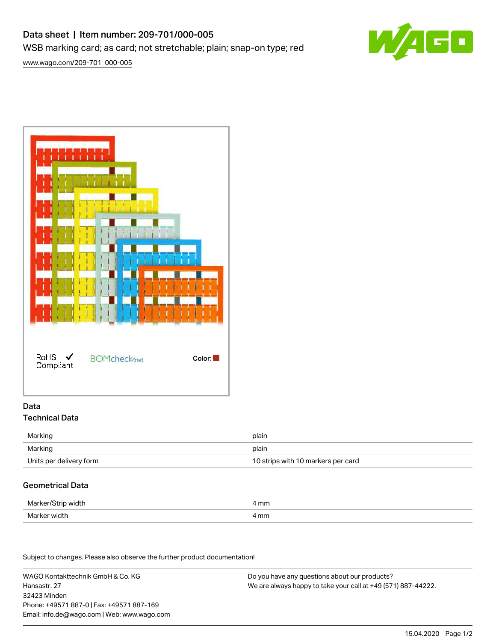# Data sheet | Item number: 209-701/000-005 WSB marking card; as card; not stretchable; plain; snap-on type; red



[www.wago.com/209-701\\_000-005](http://www.wago.com/209-701_000-005)



### Data Technical Data

| Marking                 | plain                              |
|-------------------------|------------------------------------|
| Marking                 | plain                              |
| Units per delivery form | 10 strips with 10 markers per card |

## Geometrical Data

| Marker/Strip width | mm   |
|--------------------|------|
| Marker width       | 4 mm |

Subject to changes. Please also observe the further product documentation!

WAGO Kontakttechnik GmbH & Co. KG Hansastr. 27 32423 Minden Phone: +49571 887-0 | Fax: +49571 887-169 Email: info.de@wago.com | Web: www.wago.com

Do you have any questions about our products? We are always happy to take your call at +49 (571) 887-44222.